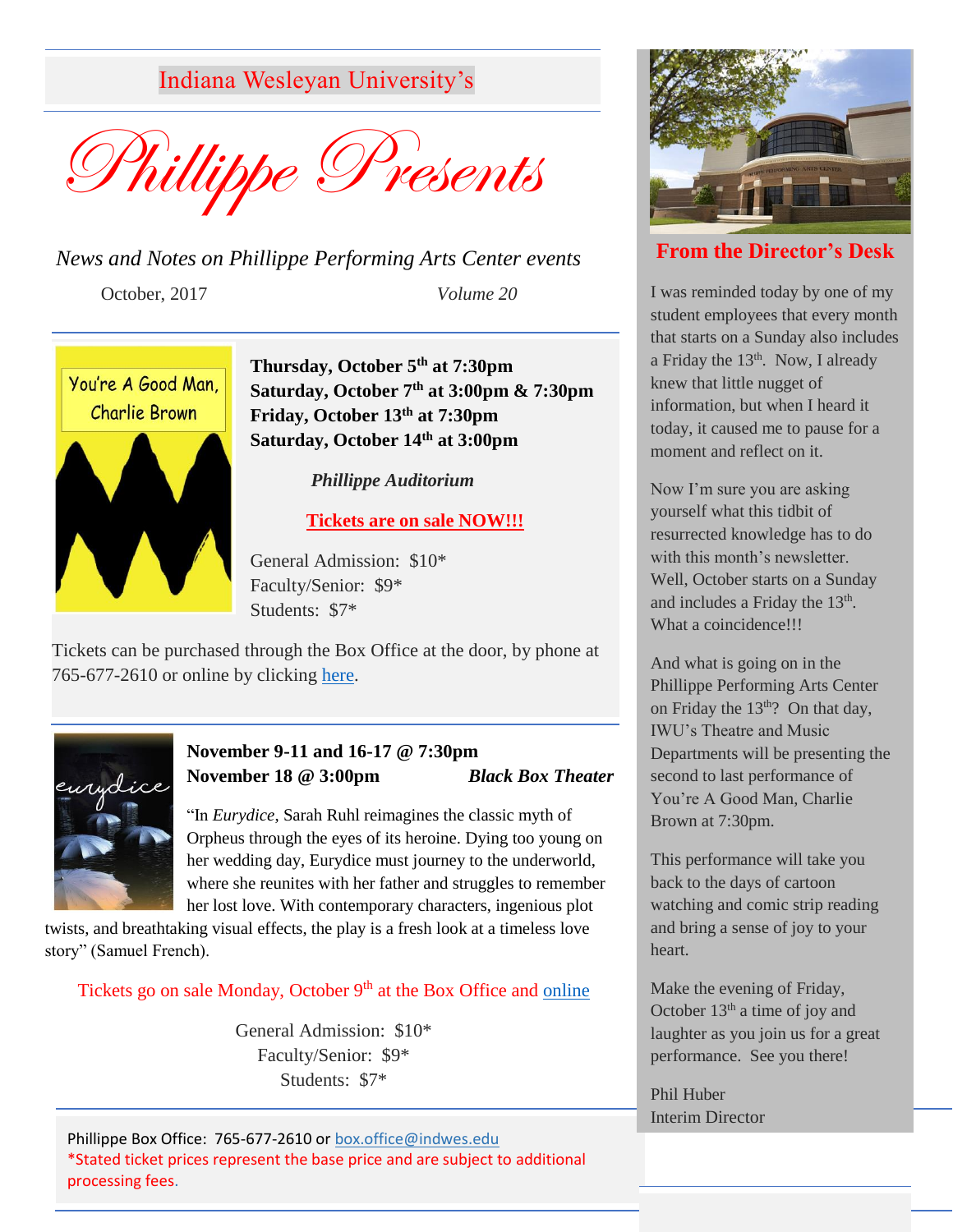Indiana Wesleyan University's



*News and Notes on Phillippe Performing Arts Center events* October, 2017 *Volume 20*



**Thursday, October 5th at 7:30pm Saturday, October 7th at 3:00pm & 7:30pm Friday, October 13th at 7:30pm Saturday, October 14th at 3:00pm**

*Phillippe Auditorium*

## **Tickets are on sale NOW!!!**

General Admission: \$10\* Faculty/Senior: \$9\* Students: \$7\*

Tickets can be purchased through the Box Office at the door, by phone at 765-677-2610 or online by clicking [here.](https://tickets.vendini.com/ticket-software.html?t=tix&e=924565bd90da44d16573eea0674114ad&vqitq=6862a955-8c76-48f5-8b3d-673334c98754&vqitp=3889d089-9893-4c23-a9be-989dea92b5b8&vqitts=1506699808&vqitc=vendini&vqite=itl&vqitrt=Safetynet&vqith=8ca3a8fcdb8ffe05453e34c3db182a48)



# **November 9-11 and 16-17 @ 7:30pm November 18 @ 3:00pm** *Black Box Theater*

"In *Eurydice*, Sarah Ruhl reimagines the classic myth of Orpheus through the eyes of its heroine. Dying too young on her wedding day, Eurydice must journey to the underworld, where she reunites with her father and struggles to remember her lost love. With contemporary characters, ingenious plot

twists, and breathtaking visual effects, the play is a fresh look at a timeless love story" (Samuel French).

Tickets go on sale Monday, October 9<sup>th</sup> at the Box Office and [online](https://red.vendini.com/ticket-software.html?t=tix&e=4ddfd660bfd228712e9723bbc6e283de)

General Admission: \$10\* Faculty/Senior: \$9\* Students: \$7\*

Phillippe Box Office: 765-677-2610 or [box.office@indwes.edu](mailto:box.office@indwes.edu) \*Stated ticket prices represent the base price and are subject to additional processing fees.



# **From the Director's Desk**

I was reminded today by one of my student employees that every month that starts on a Sunday also includes a Friday the  $13<sup>th</sup>$ . Now, I already knew that little nugget of information, but when I heard it today, it caused me to pause for a moment and reflect on it.

Now I'm sure you are asking yourself what this tidbit of resurrected knowledge has to do with this month's newsletter. Well, October starts on a Sunday and includes a Friday the  $13<sup>th</sup>$ . What a coincidence!!!

And what is going on in the Phillippe Performing Arts Center on Friday the  $13<sup>th</sup>$ ? On that day, IWU's Theatre and Music Departments will be presenting the second to last performance of You're A Good Man, Charlie Brown at 7:30pm.

This performance will take you back to the days of cartoon watching and comic strip reading and bring a sense of joy to your heart.

Make the evening of Friday, October  $13<sup>th</sup>$  a time of joy and laughter as you join us for a great performance. See you there!

Phil Huber Interim Director